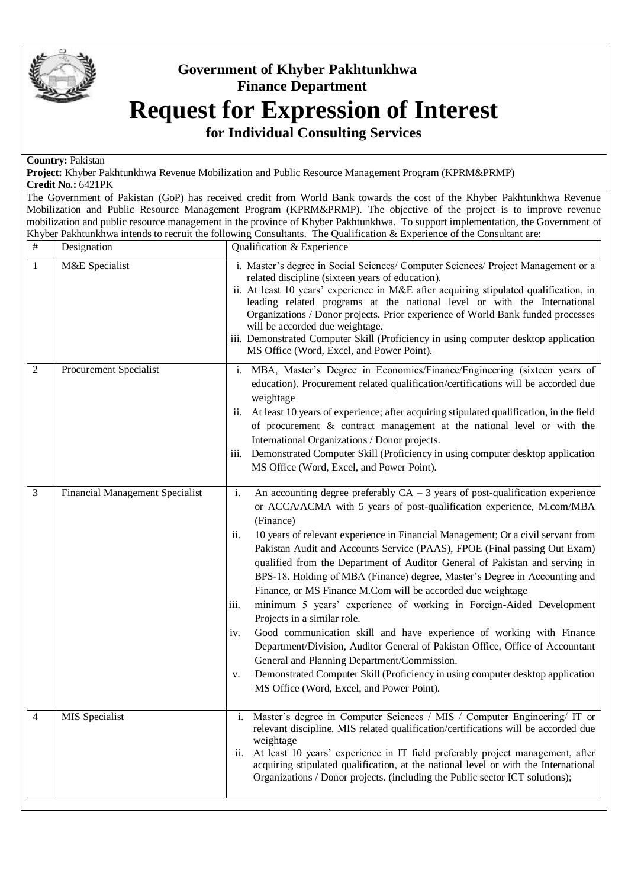

## **Government of Khyber Pakhtunkhwa Finance Department Request for Expression of Interest**

**for Individual Consulting Services**

## **Country:** Pakistan

**Project:** Khyber Pakhtunkhwa Revenue Mobilization and Public Resource Management Program (KPRM&PRMP) **Credit No.:** 6421PK

The Government of Pakistan (GoP) has received credit from World Bank towards the cost of the Khyber Pakhtunkhwa Revenue Mobilization and Public Resource Management Program (KPRM&PRMP). The objective of the project is to improve revenue mobilization and public resource management in the province of Khyber Pakhtunkhwa. To support implementation, the Government of Khyber Pakhtunkhwa intends to recruit the following Consultants. The Qualification & Experience of the Consultant are:

| #              | Designation                            | Qualification & Experience                                                                                                                                                                                                                                                                                                                                                                                                                                                                                                                                                                                                                                                                                                                                                                                                                                                                                                                                                                                                                        |
|----------------|----------------------------------------|---------------------------------------------------------------------------------------------------------------------------------------------------------------------------------------------------------------------------------------------------------------------------------------------------------------------------------------------------------------------------------------------------------------------------------------------------------------------------------------------------------------------------------------------------------------------------------------------------------------------------------------------------------------------------------------------------------------------------------------------------------------------------------------------------------------------------------------------------------------------------------------------------------------------------------------------------------------------------------------------------------------------------------------------------|
| 1              | M&E Specialist                         | i. Master's degree in Social Sciences/ Computer Sciences/ Project Management or a<br>related discipline (sixteen years of education).<br>ii. At least 10 years' experience in M&E after acquiring stipulated qualification, in<br>leading related programs at the national level or with the International<br>Organizations / Donor projects. Prior experience of World Bank funded processes<br>will be accorded due weightage.<br>iii. Demonstrated Computer Skill (Proficiency in using computer desktop application<br>MS Office (Word, Excel, and Power Point).                                                                                                                                                                                                                                                                                                                                                                                                                                                                              |
| $\overline{c}$ | Procurement Specialist                 | i. MBA, Master's Degree in Economics/Finance/Engineering (sixteen years of<br>education). Procurement related qualification/certifications will be accorded due<br>weightage<br>ii. At least 10 years of experience; after acquiring stipulated qualification, in the field<br>of procurement & contract management at the national level or with the<br>International Organizations / Donor projects.<br>Demonstrated Computer Skill (Proficiency in using computer desktop application<br>111.<br>MS Office (Word, Excel, and Power Point).                                                                                                                                                                                                                                                                                                                                                                                                                                                                                                     |
| 3              | <b>Financial Management Specialist</b> | An accounting degree preferably $CA - 3$ years of post-qualification experience<br>i.<br>or ACCA/ACMA with 5 years of post-qualification experience, M.com/MBA<br>(Finance)<br>10 years of relevant experience in Financial Management; Or a civil servant from<br>ii.<br>Pakistan Audit and Accounts Service (PAAS), FPOE (Final passing Out Exam)<br>qualified from the Department of Auditor General of Pakistan and serving in<br>BPS-18. Holding of MBA (Finance) degree, Master's Degree in Accounting and<br>Finance, or MS Finance M.Com will be accorded due weightage<br>minimum 5 years' experience of working in Foreign-Aided Development<br>iii.<br>Projects in a similar role.<br>Good communication skill and have experience of working with Finance<br>iv.<br>Department/Division, Auditor General of Pakistan Office, Office of Accountant<br>General and Planning Department/Commission.<br>Demonstrated Computer Skill (Proficiency in using computer desktop application<br>v.<br>MS Office (Word, Excel, and Power Point). |
|                | MIS Specialist                         | i. Master's degree in Computer Sciences / MIS / Computer Engineering/ IT or<br>relevant discipline. MIS related qualification/certifications will be accorded due<br>weightage<br>ii. At least 10 years' experience in IT field preferably project management, after<br>acquiring stipulated qualification, at the national level or with the International<br>Organizations / Donor projects. (including the Public sector ICT solutions);                                                                                                                                                                                                                                                                                                                                                                                                                                                                                                                                                                                                       |